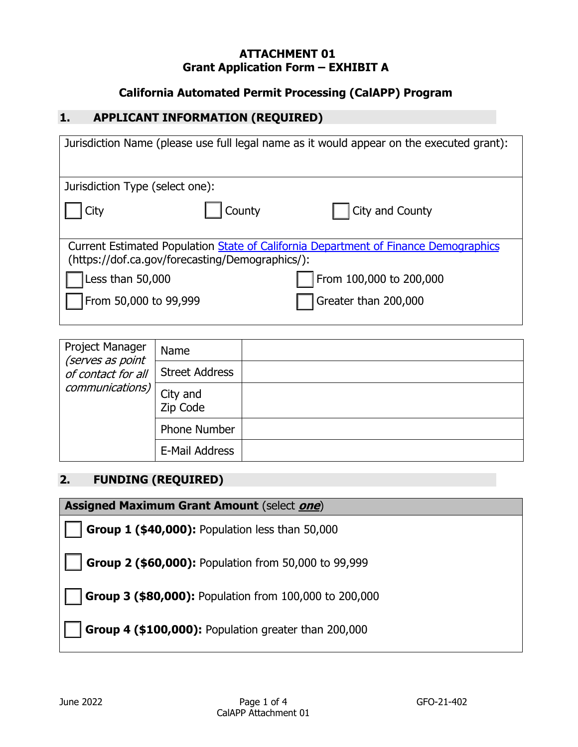#### **ATTACHMENT 01 Grant Application Form – EXHIBIT A**

### **California Automated Permit Processing (CalAPP) Program**

#### **1. APPLICANT INFORMATION (REQUIRED)**

| Jurisdiction Name (please use full legal name as it would appear on the executed grant):                                               |                         |  |
|----------------------------------------------------------------------------------------------------------------------------------------|-------------------------|--|
| Jurisdiction Type (select one):                                                                                                        |                         |  |
| County<br>City                                                                                                                         | City and County         |  |
| Current Estimated Population State of California Department of Finance Demographics<br>(https://dof.ca.gov/forecasting/Demographics/): |                         |  |
| Less than 50,000                                                                                                                       | From 100,000 to 200,000 |  |
| From 50,000 to 99,999                                                                                                                  | Greater than 200,000    |  |

| Project Manager<br>(serves as point<br>of contact for all<br>communications) | Name                  |  |
|------------------------------------------------------------------------------|-----------------------|--|
|                                                                              | <b>Street Address</b> |  |
|                                                                              | City and<br>Zip Code  |  |
|                                                                              | <b>Phone Number</b>   |  |
|                                                                              | E-Mail Address        |  |

### **2. FUNDING (REQUIRED)**

**Assigned Maximum Grant Amount** (select **one**)

**Group 1 (\$40,000):** Population less than 50,000

**Group 2 (\$60,000):** Population from 50,000 to 99,999

**Group 3 (\$80,000):** Population from 100,000 to 200,000

**Group 4 (\$100,000):** Population greater than 200,000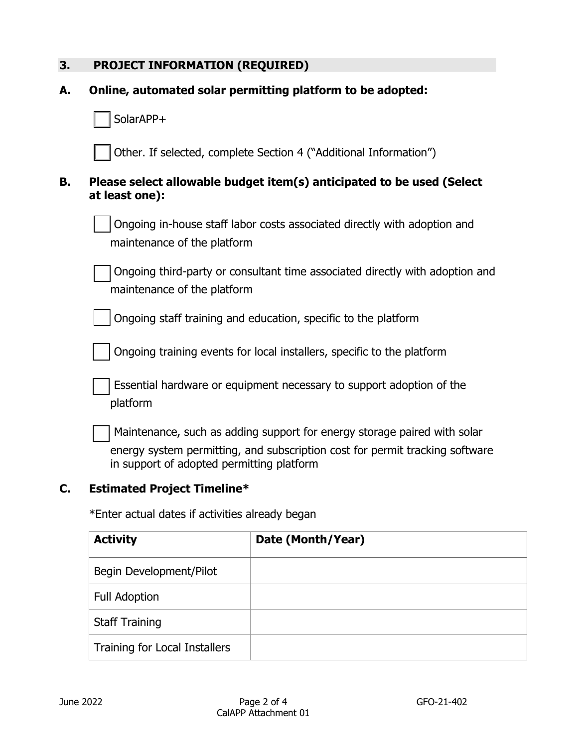# **3. PROJECT INFORMATION (REQUIRED)**

| А. | Online, automated solar permitting platform to be adopted:                                                                                                                                            |
|----|-------------------------------------------------------------------------------------------------------------------------------------------------------------------------------------------------------|
|    | SolarAPP+                                                                                                                                                                                             |
|    | Other. If selected, complete Section 4 ("Additional Information")                                                                                                                                     |
| В. | Please select allowable budget item(s) anticipated to be used (Select<br>at least one):                                                                                                               |
|    | Ongoing in-house staff labor costs associated directly with adoption and<br>maintenance of the platform                                                                                               |
|    | Ongoing third-party or consultant time associated directly with adoption and<br>maintenance of the platform                                                                                           |
|    | Ongoing staff training and education, specific to the platform                                                                                                                                        |
|    | Ongoing training events for local installers, specific to the platform                                                                                                                                |
|    | Essential hardware or equipment necessary to support adoption of the<br>platform                                                                                                                      |
|    | Maintenance, such as adding support for energy storage paired with solar<br>energy system permitting, and subscription cost for permit tracking software<br>in support of adopted permitting platform |

# **C. Estimated Project Timeline\***

\*Enter actual dates if activities already began

| <b>Activity</b>               | Date (Month/Year) |
|-------------------------------|-------------------|
| Begin Development/Pilot       |                   |
| <b>Full Adoption</b>          |                   |
| <b>Staff Training</b>         |                   |
| Training for Local Installers |                   |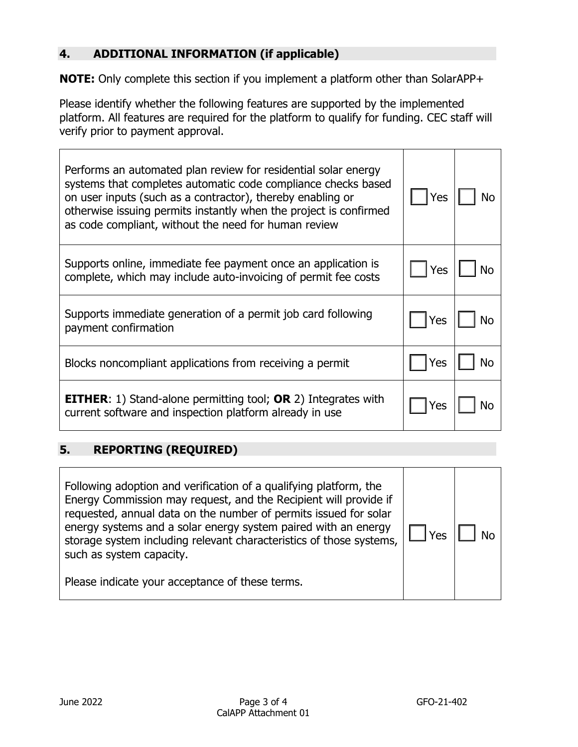### **4. ADDITIONAL INFORMATION (if applicable)**

**NOTE:** Only complete this section if you implement a platform other than SolarAPP+

Please identify whether the following features are supported by the implemented platform. All features are required for the platform to qualify for funding. CEC staff will verify prior to payment approval.

| Performs an automated plan review for residential solar energy<br>systems that completes automatic code compliance checks based<br>on user inputs (such as a contractor), thereby enabling or<br>otherwise issuing permits instantly when the project is confirmed<br>as code compliant, without the need for human review | Yes |  |
|----------------------------------------------------------------------------------------------------------------------------------------------------------------------------------------------------------------------------------------------------------------------------------------------------------------------------|-----|--|
| Supports online, immediate fee payment once an application is<br>complete, which may include auto-invoicing of permit fee costs                                                                                                                                                                                            | Yes |  |
| Supports immediate generation of a permit job card following<br>payment confirmation                                                                                                                                                                                                                                       | Yes |  |
| Blocks noncompliant applications from receiving a permit                                                                                                                                                                                                                                                                   | Yes |  |
| <b>EITHER:</b> 1) Stand-alone permitting tool; <b>OR</b> 2) Integrates with<br>current software and inspection platform already in use                                                                                                                                                                                     | Yes |  |

### **5. REPORTING (REQUIRED)**

| Following adoption and verification of a qualifying platform, the<br>Energy Commission may request, and the Recipient will provide if<br>requested, annual data on the number of permits issued for solar<br>energy systems and a solar energy system paired with an energy<br>storage system including relevant characteristics of those systems,<br>such as system capacity. | ⁄ ρς | N٥ |
|--------------------------------------------------------------------------------------------------------------------------------------------------------------------------------------------------------------------------------------------------------------------------------------------------------------------------------------------------------------------------------|------|----|
| Please indicate your acceptance of these terms.                                                                                                                                                                                                                                                                                                                                |      |    |